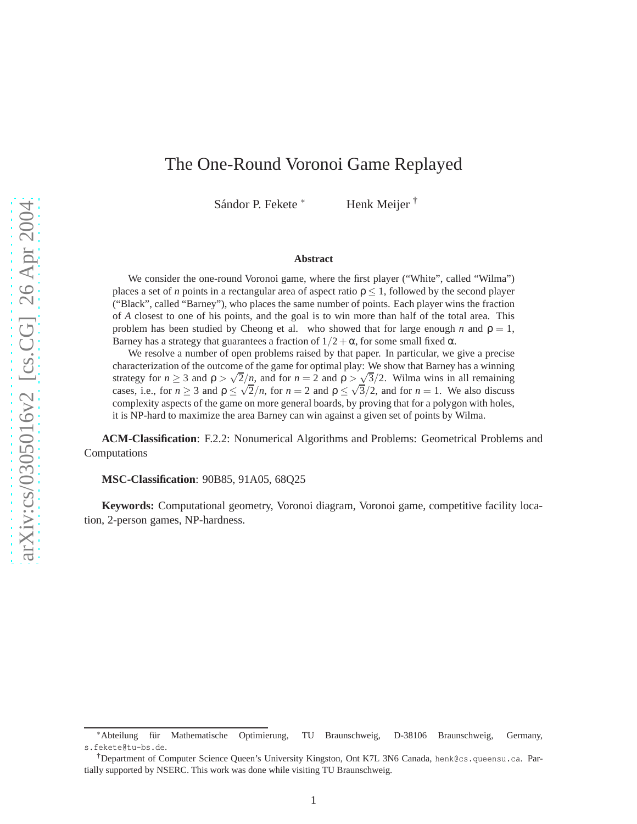# The One-Round Voronoi Game Replayed

Sándor P. Fekete <sup>∗</sup> Henk Meijer †

#### **Abstract**

We consider the one-round Voronoi game, where the first player ("White", called "Wilma") places a set of *n* points in a rectangular area of aspect ratio  $\rho \leq 1$ , followed by the second player ("Black", called "Barney"), who places the same number of points. Each player wins the fraction of *A* closest to one of his points, and the goal is to win more than half of the total area. This problem has been studied by Cheong et al. who showed that for large enough *n* and  $\rho = 1$ , Barney has a strategy that guarantees a fraction of  $1/2 + \alpha$ , for some small fixed  $\alpha$ .

We resolve a number of open problems raised by that paper. In particular, we give a precise characterization of the outcome of the game for optimal play: We show that Barney has a winning strategy for  $n \ge 3$  and  $\rho > \sqrt{2}/n$ , and for  $n = 2$  and  $\rho > \sqrt{3}/2$ . Wilma wins in all remaining cases, i.e., for  $n \ge 3$  and  $\rho \le \sqrt{2}/n$ , for  $n = 2$  and  $\rho \le \sqrt{3}/2$ , and for  $n = 1$ . We also discuss complexity aspects of the game on more general boards, by proving that for a polygon with holes, it is NP-hard to maximize the area Barney can win against a given set of points by Wilma.

**ACM-Classification**: F.2.2: Nonumerical Algorithms and Problems: Geometrical Problems and Computations

**MSC-Classification**: 90B85, 91A05, 68Q25

**Keywords:** Computational geometry, Voronoi diagram, Voronoi game, competitive facility location, 2-person games, NP-hardness.

<sup>∗</sup>Abteilung f¨ur Mathematische Optimierung, TU Braunschweig, D-38106 Braunschweig, Germany, s.fekete@tu-bs.de.

<sup>†</sup>Department of Computer Science Queen's University Kingston, Ont K7L 3N6 Canada, henk@cs.queensu.ca. Partially supported by NSERC. This work was done while visiting TU Braunschweig.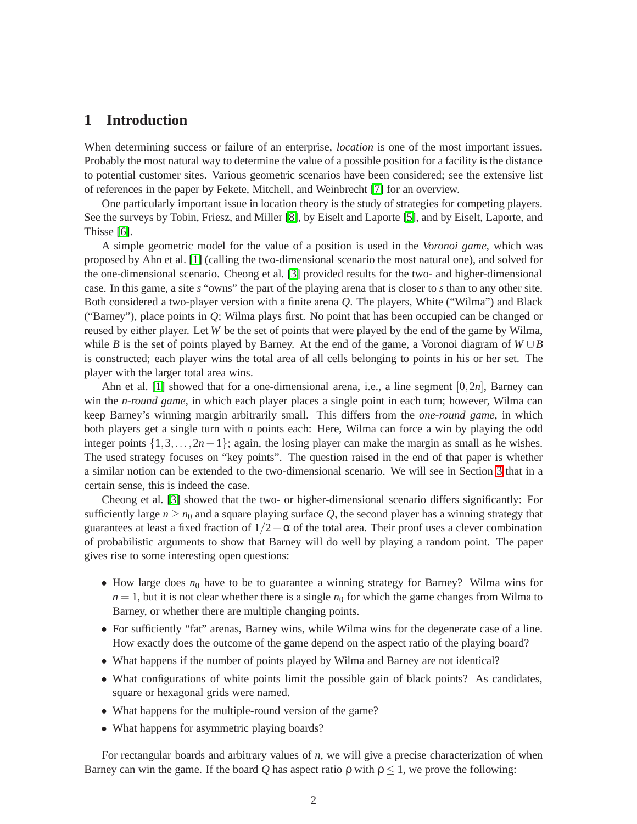## **1 Introduction**

When determining success or failure of an enterprise, *location* is one of the most important issues. Probably the most natural way to determine the value of a possible position for a facility is the distance to potential customer sites. Various geometric scenarios have been considered; see the extensive list of references in the paper by Fekete, Mitchell, and Weinbrecht [\[7\]](#page-13-0) for an overview.

One particularly important issue in location theory is the study of strategies for competing players. See the surveys by Tobin, Friesz, and Miller [\[8\]](#page-13-1), by Eiselt and Laporte [\[5\]](#page-13-2), and by Eiselt, Laporte, and Thisse [\[6\]](#page-13-3).

A simple geometric model for the value of a position is used in the *Voronoi game*, which was proposed by Ahn et al. [\[1\]](#page-13-4) (calling the two-dimensional scenario the most natural one), and solved for the one-dimensional scenario. Cheong et al. [\[3\]](#page-13-5) provided results for the two- and higher-dimensional case. In this game, a site *s* "owns" the part of the playing arena that is closer to *s* than to any other site. Both considered a two-player version with a finite arena *Q*. The players, White ("Wilma") and Black ("Barney"), place points in *Q*; Wilma plays first. No point that has been occupied can be changed or reused by either player. Let *W* be the set of points that were played by the end of the game by Wilma, while *B* is the set of points played by Barney. At the end of the game, a Voronoi diagram of  $W \cup B$ is constructed; each player wins the total area of all cells belonging to points in his or her set. The player with the larger total area wins.

Ahn et al. [\[1\]](#page-13-4) showed that for a one-dimensional arena, i.e., a line segment [0,2*n*], Barney can win the *n-round game*, in which each player places a single point in each turn; however, Wilma can keep Barney's winning margin arbitrarily small. This differs from the *one-round game*, in which both players get a single turn with *n* points each: Here, Wilma can force a win by playing the odd integer points  $\{1,3,\ldots,2n-1\}$ ; again, the losing player can make the margin as small as he wishes. The used strategy focuses on "key points". The question raised in the end of that paper is whether a similar notion can be extended to the two-dimensional scenario. We will see in Section [3](#page-2-0) that in a certain sense, this is indeed the case.

Cheong et al. [\[3\]](#page-13-5) showed that the two- or higher-dimensional scenario differs significantly: For sufficiently large  $n \ge n_0$  and a square playing surface Q, the second player has a winning strategy that guarantees at least a fixed fraction of  $1/2 + \alpha$  of the total area. Their proof uses a clever combination of probabilistic arguments to show that Barney will do well by playing a random point. The paper gives rise to some interesting open questions:

- How large does  $n_0$  have to be to guarantee a winning strategy for Barney? Wilma wins for  $n = 1$ , but it is not clear whether there is a single  $n_0$  for which the game changes from Wilma to Barney, or whether there are multiple changing points.
- For sufficiently "fat" arenas, Barney wins, while Wilma wins for the degenerate case of a line. How exactly does the outcome of the game depend on the aspect ratio of the playing board?
- What happens if the number of points played by Wilma and Barney are not identical?
- What configurations of white points limit the possible gain of black points? As candidates, square or hexagonal grids were named.
- What happens for the multiple-round version of the game?
- What happens for asymmetric playing boards?

For rectangular boards and arbitrary values of *n*, we will give a precise characterization of when Barney can win the game. If the board *Q* has aspect ratio *ρ* with  $\rho \leq 1$ , we prove the following: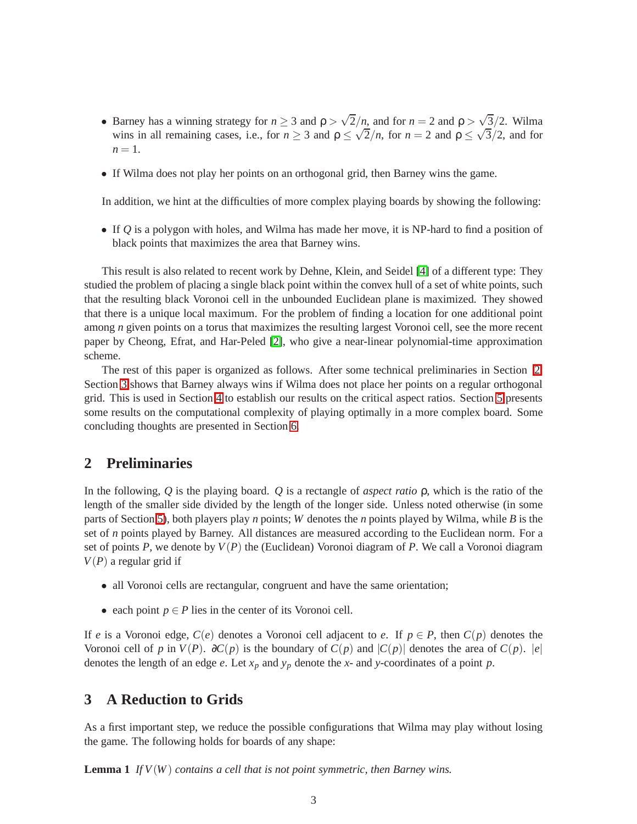- Barney has a winning strategy for  $n \ge 3$  and  $\rho > \sqrt{2}/n$ , and for  $n = 2$  and  $\rho > \sqrt{3}/2$ . Wilma wins in all remaining cases, i.e., for  $n \ge 3$  and  $\rho \le \sqrt{2}/n$ , for  $n = 2$  and  $\rho \le \sqrt{3}/2$ , and for  $n=1$ .
- If Wilma does not play her points on an orthogonal grid, then Barney wins the game.

In addition, we hint at the difficulties of more complex playing boards by showing the following:

• If *Q* is a polygon with holes, and Wilma has made her move, it is NP-hard to find a position of black points that maximizes the area that Barney wins.

This result is also related to recent work by Dehne, Klein, and Seidel [\[4\]](#page-13-6) of a different type: They studied the problem of placing a single black point within the convex hull of a set of white points, such that the resulting black Voronoi cell in the unbounded Euclidean plane is maximized. They showed that there is a unique local maximum. For the problem of finding a location for one additional point among *n* given points on a torus that maximizes the resulting largest Voronoi cell, see the more recent paper by Cheong, Efrat, and Har-Peled [\[2\]](#page-13-7), who give a near-linear polynomial-time approximation scheme.

The rest of this paper is organized as follows. After some technical preliminaries in Section [2,](#page-2-1) Section [3](#page-2-0) shows that Barney always wins if Wilma does not place her points on a regular orthogonal grid. This is used in Section [4](#page-4-0) to establish our results on the critical aspect ratios. Section [5](#page-9-0) presents some results on the computational complexity of playing optimally in a more complex board. Some concluding thoughts are presented in Section [6.](#page-12-0)

### <span id="page-2-1"></span>**2 Preliminaries**

In the following, *Q* is the playing board. *Q* is a rectangle of *aspect ratio* ρ, which is the ratio of the length of the smaller side divided by the length of the longer side. Unless noted otherwise (in some parts of Section [5\)](#page-9-0), both players play *n* points; *W* denotes the *n* points played by Wilma, while *B* is the set of *n* points played by Barney. All distances are measured according to the Euclidean norm. For a set of points *P*, we denote by *V*(*P*) the (Euclidean) Voronoi diagram of *P*. We call a Voronoi diagram *V*(*P*) a regular grid if

- all Voronoi cells are rectangular, congruent and have the same orientation;
- each point  $p \in P$  lies in the center of its Voronoi cell.

If *e* is a Voronoi edge,  $C(e)$  denotes a Voronoi cell adjacent to *e*. If  $p \in P$ , then  $C(p)$  denotes the Voronoi cell of *p* in  $V(P)$ .  $\partial C(p)$  is the boundary of  $C(p)$  and  $|C(p)|$  denotes the area of  $C(p)$ .  $|e|$ denotes the length of an edge *e*. Let  $x_p$  and  $y_p$  denote the *x*- and *y*-coordinates of a point *p*.

## <span id="page-2-0"></span>**3 A Reduction to Grids**

<span id="page-2-2"></span>As a first important step, we reduce the possible configurations that Wilma may play without losing the game. The following holds for boards of any shape:

**Lemma 1** *If V*(*W*) *contains a cell that is not point symmetric, then Barney wins.*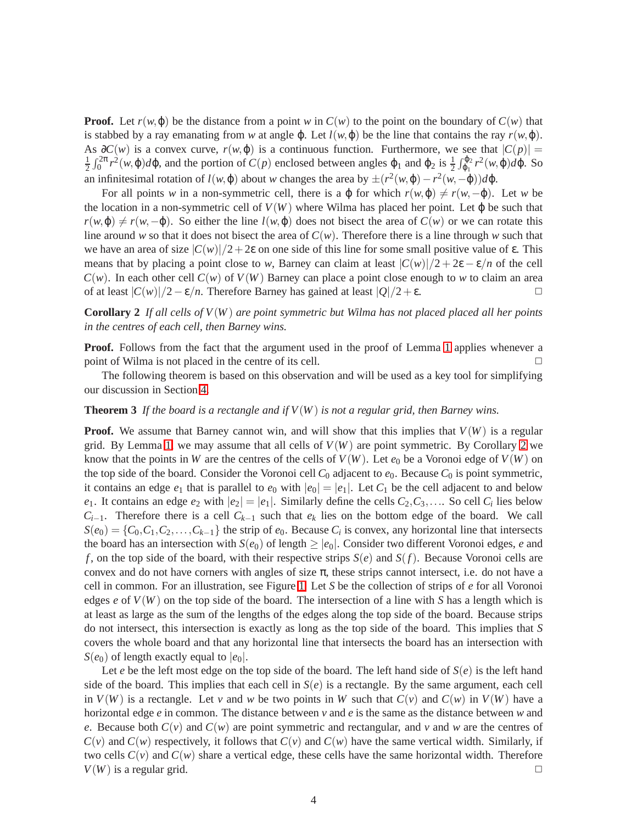**Proof.** Let  $r(w, \varphi)$  be the distance from a point *w* in  $C(w)$  to the point on the boundary of  $C(w)$  that is stabbed by a ray emanating from *w* at angle φ. Let  $l(w, φ)$  be the line that contains the ray  $r(w, φ)$ . As  $\partial C(w)$  is a convex curve,  $r(w, \varphi)$  is a continuous function. Furthermore, we see that  $|C(p)| =$ 1  $\frac{1}{2} \int_0^{2\pi} r^2(w, \varphi) d\varphi$ , and the portion of *C*(*p*) enclosed between angles  $\varphi_1$  and  $\varphi_2$  is  $\frac{1}{2} \int_{\varphi_1}^{\varphi_2} r^2(w, \varphi) d\varphi$ . So an infinitesimal rotation of  $l(w, \varphi)$  about *w* changes the area by  $\pm (r^2(w, \varphi) - r^2(w, -\varphi))d\varphi$ .

For all points *w* in a non-symmetric cell, there is a  $\varphi$  for which  $r(w, \varphi) \neq r(w, -\varphi)$ . Let *w* be the location in a non-symmetric cell of  $V(W)$  where Wilma has placed her point. Let  $\varphi$  be such that  $r(w, \varphi) \neq r(w, -\varphi)$ . So either the line  $l(w, \varphi)$  does not bisect the area of  $C(w)$  or we can rotate this line around *w* so that it does not bisect the area of  $C(w)$ . Therefore there is a line through *w* such that we have an area of size  $|C(w)|/2+2\varepsilon$  on one side of this line for some small positive value of  $\varepsilon$ . This means that by placing a point close to *w*, Barney can claim at least  $|C(w)|/2 + 2\varepsilon - \varepsilon/n$  of the cell  $C(w)$ . In each other cell  $C(w)$  of  $V(W)$  Barney can place a point close enough to *w* to claim an area of at least  $|C(w)|/2 - \varepsilon/n$ . Therefore Barney has gained at least  $|Q|/2 + \varepsilon$ .

<span id="page-3-0"></span>**Corollary 2** *If all cells of V*(*W*) *are point symmetric but Wilma has not placed placed all her points in the centres of each cell, then Barney wins.*

**Proof.** Follows from the fact that the argument used in the proof of Lemma [1](#page-2-2) applies whenever a point of Wilma is not placed in the centre of its cell.  $\Box$ 

<span id="page-3-1"></span>The following theorem is based on this observation and will be used as a key tool for simplifying our discussion in Section [4.](#page-4-0)

#### **Theorem 3** *If the board is a rectangle and if V*(*W*) *is not a regular grid, then Barney wins.*

**Proof.** We assume that Barney cannot win, and will show that this implies that  $V(W)$  is a regular grid. By Lemma [1,](#page-2-2) we may assume that all cells of  $V(W)$  are point symmetric. By Corollary [2](#page-3-0) we know that the points in *W* are the centres of the cells of  $V(W)$ . Let  $e_0$  be a Voronoi edge of  $V(W)$  on the top side of the board. Consider the Voronoi cell  $C_0$  adjacent to  $e_0$ . Because  $C_0$  is point symmetric, it contains an edge  $e_1$  that is parallel to  $e_0$  with  $|e_0| = |e_1|$ . Let  $C_1$  be the cell adjacent to and below *e*<sub>1</sub>. It contains an edge *e*<sub>2</sub> with  $|e_2| = |e_1|$ . Similarly define the cells  $C_2, C_3, \ldots$  So cell  $C_i$  lies below *C*<sub>*i*−1</sub>. Therefore there is a cell  $C_{k-1}$  such that  $e_k$  lies on the bottom edge of the board. We call  $S(e_0) = \{C_0, C_1, C_2, \ldots, C_{k-1}\}\$ the strip of  $e_0$ . Because  $C_i$  is convex, any horizontal line that intersects the board has an intersection with  $S(e_0)$  of length  $\geq |e_0|$ . Consider two different Voronoi edges, *e* and *f* , on the top side of the board, with their respective strips *S*(*e*) and *S*(*f*). Because Voronoi cells are convex and do not have corners with angles of size  $\pi$ , these strips cannot intersect, i.e. do not have a cell in common. For an illustration, see Figure [1.](#page-4-1) Let *S* be the collection of strips of *e* for all Voronoi edges  $e$  of  $V(W)$  on the top side of the board. The intersection of a line with *S* has a length which is at least as large as the sum of the lengths of the edges along the top side of the board. Because strips do not intersect, this intersection is exactly as long as the top side of the board. This implies that *S* covers the whole board and that any horizontal line that intersects the board has an intersection with  $S(e_0)$  of length exactly equal to  $|e_0|$ .

Let *e* be the left most edge on the top side of the board. The left hand side of  $S(e)$  is the left hand side of the board. This implies that each cell in  $S(e)$  is a rectangle. By the same argument, each cell in  $V(W)$  is a rectangle. Let v and w be two points in W such that  $C(v)$  and  $C(w)$  in  $V(W)$  have a horizontal edge *e* in common. The distance between *v* and *e* is the same as the distance between *w* and *e*. Because both  $C(v)$  and  $C(w)$  are point symmetric and rectangular, and *v* and *w* are the centres of  $C(v)$  and  $C(w)$  respectively, it follows that  $C(v)$  and  $C(w)$  have the same vertical width. Similarly, if two cells  $C(v)$  and  $C(w)$  share a vertical edge, these cells have the same horizontal width. Therefore  $V(W)$  is a regular grid.  $\square$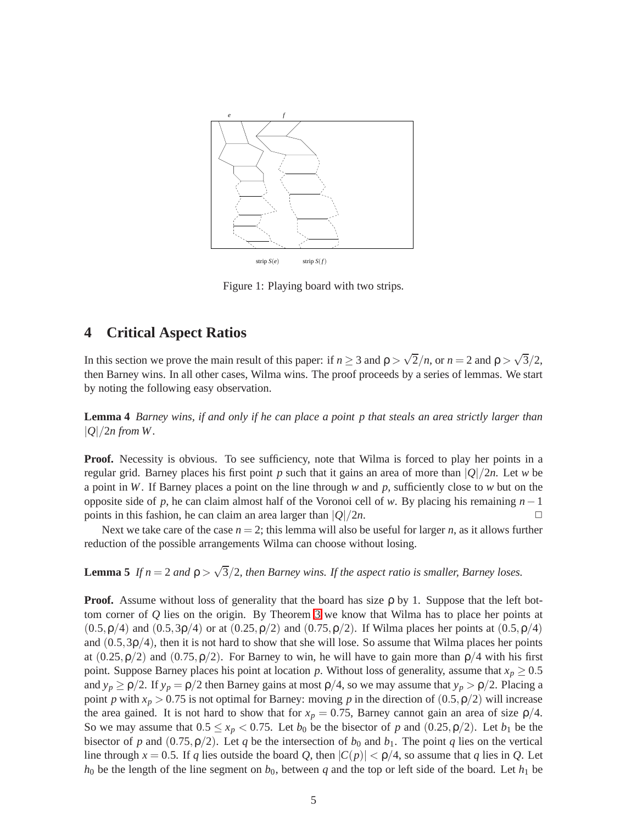

<span id="page-4-1"></span>Figure 1: Playing board with two strips.

### <span id="page-4-0"></span>**4 Critical Aspect Ratios**

In this section we prove the main result of this paper: if  $n \ge 3$  and  $\rho > \sqrt{2}/n$ , or  $n = 2$  and  $\rho > \sqrt{3}/2$ , then Barney wins. In all other cases, Wilma wins. The proof proceeds by a series of lemmas. We start by noting the following easy observation.

<span id="page-4-2"></span>**Lemma 4** *Barney wins, if and only if he can place a point p that steals an area strictly larger than*  $|O|/2n$  from W.

**Proof.** Necessity is obvious. To see sufficiency, note that Wilma is forced to play her points in a regular grid. Barney places his first point *p* such that it gains an area of more than |*Q*|/2*n*. Let *w* be a point in *W*. If Barney places a point on the line through *w* and *p*, sufficiently close to *w* but on the opposite side of *p*, he can claim almost half of the Voronoi cell of *w*. By placing his remaining *n*−1 points in this fashion, he can claim an area larger than  $|O|/2n$ . points in this fashion, he can claim an area larger than  $|Q|/2n$ .

<span id="page-4-3"></span>Next we take care of the case  $n = 2$ ; this lemma will also be useful for larger *n*, as it allows further reduction of the possible arrangements Wilma can choose without losing.

**Lemma 5** *If*  $n = 2$  *and*  $p > \sqrt{3}/2$ , *then Barney wins. If the aspect ratio is smaller, Barney loses.* 

**Proof.** Assume without loss of generality that the board has size  $\rho$  by 1. Suppose that the left bottom corner of *Q* lies on the origin. By Theorem [3](#page-3-1) we know that Wilma has to place her points at  $(0.5, \rho/4)$  and  $(0.5, 3\rho/4)$  or at  $(0.25, \rho/2)$  and  $(0.75, \rho/2)$ . If Wilma places her points at  $(0.5, \rho/4)$ and  $(0.5,3p/4)$ , then it is not hard to show that she will lose. So assume that Wilma places her points at  $(0.25, p/2)$  and  $(0.75, p/2)$ . For Barney to win, he will have to gain more than  $p/4$  with his first point. Suppose Barney places his point at location *p*. Without loss of generality, assume that  $x_p \geq 0.5$ and  $y_p \ge \frac{\rho}{2}$ . If  $y_p = \frac{\rho}{2}$  then Barney gains at most  $\frac{\rho}{4}$ , so we may assume that  $y_p > \frac{\rho}{2}$ . Placing a point *p* with  $x_p > 0.75$  is not optimal for Barney: moving *p* in the direction of  $(0.5, \rho/2)$  will increase the area gained. It is not hard to show that for  $x_p = 0.75$ , Barney cannot gain an area of size  $\rho/4$ . So we may assume that  $0.5 \le x_p < 0.75$ . Let  $b_0$  be the bisector of p and  $(0.25, \frac{\rho}{2})$ . Let  $b_1$  be the bisector of *p* and (0.75,  $\rho/2$ ). Let *q* be the intersection of  $b_0$  and  $b_1$ . The point *q* lies on the vertical line through  $x = 0.5$ . If *q* lies outside the board *Q*, then  $|C(p)| < \rho/4$ , so assume that *q* lies in *Q*. Let  $h_0$  be the length of the line segment on  $b_0$ , between *q* and the top or left side of the board. Let  $h_1$  be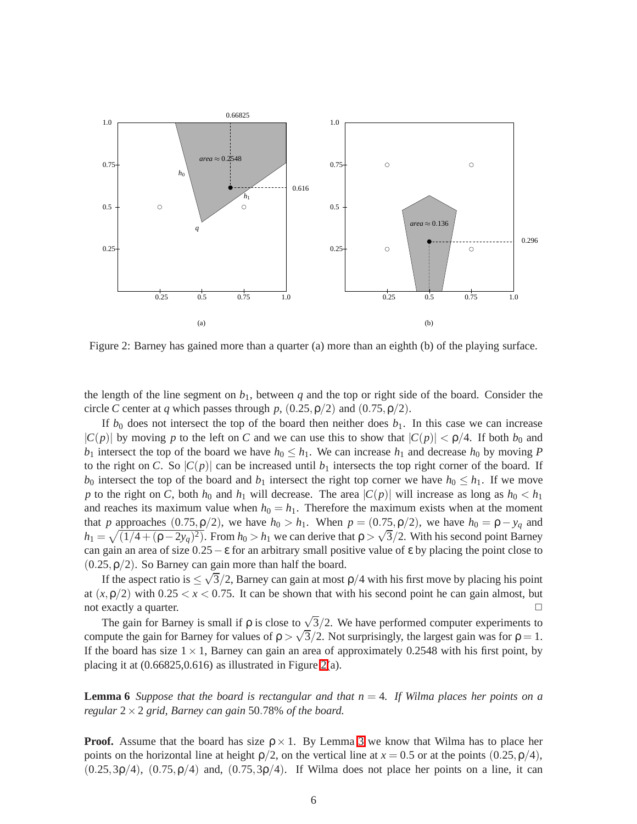

<span id="page-5-0"></span>Figure 2: Barney has gained more than a quarter (a) more than an eighth (b) of the playing surface.

the length of the line segment on  $b_1$ , between  $q$  and the top or right side of the board. Consider the circle *C* center at *q* which passes through *p*,  $(0.25, \rho/2)$  and  $(0.75, \rho/2)$ .

If  $b_0$  does not intersect the top of the board then neither does  $b_1$ . In this case we can increase  $|C(p)|$  by moving p to the left on C and we can use this to show that  $|C(p)| < \rho/4$ . If both  $b_0$  and *b*<sub>1</sub> intersect the top of the board we have  $h_0 \leq h_1$ . We can increase  $h_1$  and decrease  $h_0$  by moving *P* to the right on *C*. So  $|C(p)|$  can be increased until  $b_1$  intersects the top right corner of the board. If *b*<sub>0</sub> intersect the top of the board and *b*<sub>1</sub> intersect the right top corner we have  $h_0 \leq h_1$ . If we move *p* to the right on *C*, both  $h_0$  and  $h_1$  will decrease. The area  $|C(p)|$  will increase as long as  $h_0 < h_1$ and reaches its maximum value when  $h_0 = h_1$ . Therefore the maximum exists when at the moment that *p* approaches (0.75,  $\rho/2$ ), we have  $h_0 > h_1$ . When  $p = (0.75, \rho/2)$ , we have  $h_0 = \rho - y_q$  and  $h_1 = \sqrt{(1/4 + (\rho - 2y_q)^2)}$ . From  $h_0 > h_1$  we can derive that  $\rho > \sqrt{3}/2$ . With his second point Barney can gain an area of size  $0.25 - \varepsilon$  for an arbitrary small positive value of  $\varepsilon$  by placing the point close to  $(0.25, p/2)$ . So Barney can gain more than half the board.

If the aspect ratio is  $\leq \sqrt{3}/2$ , Barney can gain at most  $\rho/4$  with his first move by placing his point at  $(x, \rho/2)$  with  $0.25 < x < 0.75$ . It can be shown that with his second point he can gain almost, but not exactly a quarter.  $\Box$ 

The gain for Barney is small if  $\rho$  is close to  $\sqrt{3}/2$ . We have performed computer experiments to compute the gain for Barney for values of  $\rho > \sqrt{3}/2$ . Not surprisingly, the largest gain was for  $\rho = 1$ . If the board has size  $1 \times 1$ , Barney can gain an area of approximately 0.2548 with his first point, by placing it at  $(0.66825, 0.616)$  as illustrated in Figure [2\(](#page-5-0)a).

**Lemma 6** *Suppose that the board is rectangular and that*  $n = 4$ *. If Wilma places her points on a regular* 2×2 *grid, Barney can gain* 50.78% *of the board.*

**Proof.** Assume that the board has size  $\rho \times 1$ . By Lemma [3](#page-3-1) we know that Wilma has to place her points on the horizontal line at height  $\rho/2$ , on the vertical line at  $x = 0.5$  or at the points  $(0.25, \rho/4)$ ,  $(0.25,3\rho/4)$ ,  $(0.75,\rho/4)$  and,  $(0.75,3\rho/4)$ . If Wilma does not place her points on a line, it can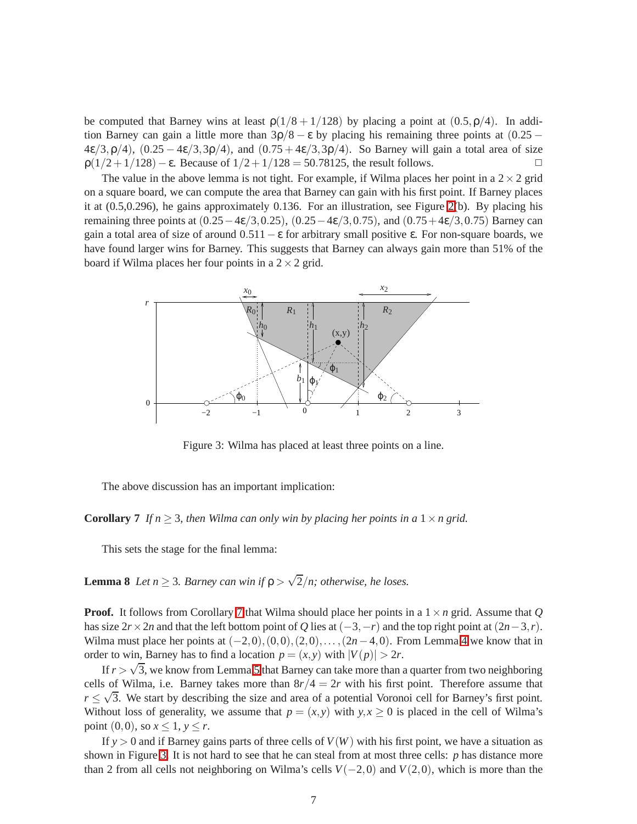be computed that Barney wins at least  $\rho(1/8 + 1/128)$  by placing a point at  $(0.5, \rho/4)$ . In addition Barney can gain a little more than  $3p/8 - \epsilon$  by placing his remaining three points at (0.25 –  $4\varepsilon/3$ , ρ/4), (0.25 − 4ε/3,3ρ/4), and (0.75 + 4ε/3,3ρ/4). So Barney will gain a total area of size  $\rho(1/2 + 1/128) - \varepsilon$ . Because of  $1/2 + 1/128 = 50.78125$ , the result follows.  $p(1/2+1/128)$  – ε. Because of  $1/2+1/128 = 50.78125$ , the result follows.

The value in the above lemma is not tight. For example, if Wilma places her point in a  $2 \times 2$  grid on a square board, we can compute the area that Barney can gain with his first point. If Barney places it at (0.5,0.296), he gains approximately 0.136. For an illustration, see Figure [2\(](#page-5-0)b). By placing his remaining three points at  $(0.25-4\varepsilon/3,0.25)$ ,  $(0.25-4\varepsilon/3,0.75)$ , and  $(0.75+4\varepsilon/3,0.75)$  Barney can gain a total area of size of around  $0.511 - \varepsilon$  for arbitrary small positive  $\varepsilon$ . For non-square boards, we have found larger wins for Barney. This suggests that Barney can always gain more than 51% of the board if Wilma places her four points in a  $2 \times 2$  grid.



<span id="page-6-1"></span>Figure 3: Wilma has placed at least three points on a line.

The above discussion has an important implication:

<span id="page-6-0"></span>**Corollary 7** If  $n > 3$ , then Wilma can only win by placing her points in a  $1 \times n$  grid.

This sets the stage for the final lemma:

**Lemma 8** *Let*  $n \geq 3$ *. Barney can win if*  $\rho > \sqrt{2}/n$ *; otherwise, he loses.* 

**Proof.** It follows from Corollary [7](#page-6-0) that Wilma should place her points in a  $1 \times n$  grid. Assume that *Q* has size  $2r \times 2n$  and that the left bottom point of *Q* lies at  $(-3, -r)$  and the top right point at  $(2n-3, r)$ . Wilma must place her points at  $(-2,0), (0,0), (2,0), \ldots, (2n-4,0)$ . From Lemma [4](#page-4-2) we know that in order to win, Barney has to find a location  $p = (x, y)$  with  $|V(p)| > 2r$ .

If  $r > \sqrt{3}$ , we know from Lemma [5](#page-4-3) that Barney can take more than a quarter from two neighboring cells of Wilma, i.e. Barney takes more than  $8r/4 = 2r$  with his first point. Therefore assume that  $r \leq \sqrt{3}$ . We start by describing the size and area of a potential Voronoi cell for Barney's first point. Without loss of generality, we assume that  $p = (x, y)$  with  $y, x \ge 0$  is placed in the cell of Wilma's point  $(0,0)$ , so  $x \le 1$ ,  $y \le r$ .

If  $y > 0$  and if Barney gains parts of three cells of  $V(W)$  with his first point, we have a situation as shown in Figure [3.](#page-6-1) It is not hard to see that he can steal from at most three cells: *p* has distance more than 2 from all cells not neighboring on Wilma's cells  $V(-2,0)$  and  $V(2,0)$ , which is more than the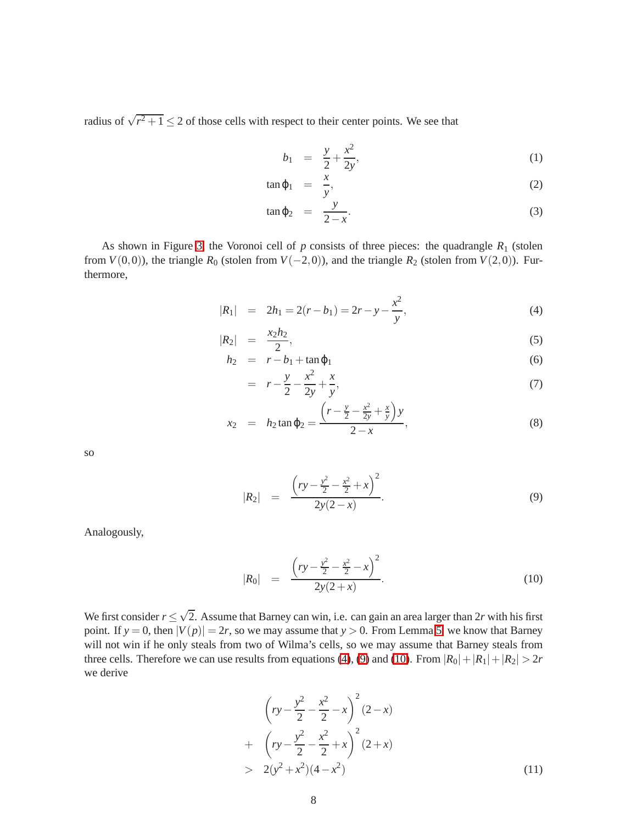radius of  $\sqrt{r^2+1} \le 2$  of those cells with respect to their center points. We see that

$$
b_1 = \frac{y}{2} + \frac{x^2}{2y}, \tag{1}
$$

$$
\tan \varphi_1 = \frac{x}{y}, \tag{2}
$$

$$
\tan \varphi_2 = \frac{y}{2-x}.\tag{3}
$$

As shown in Figure [3,](#page-6-1) the Voronoi cell of  $p$  consists of three pieces: the quadrangle  $R_1$  (stolen from  $V(0,0)$ ), the triangle  $R_0$  (stolen from  $V(-2,0)$ ), and the triangle  $R_2$  (stolen from  $V(2,0)$ ). Furthermore,

<span id="page-7-0"></span>
$$
|R_1| = 2h_1 = 2(r - b_1) = 2r - y - \frac{x^2}{y},
$$
\n(4)

$$
|R_2| = \frac{x_2 h_2}{2}, \tag{5}
$$

$$
h_2 = r - b_1 + \tan \varphi_1 \tag{6}
$$

$$
= r - \frac{y}{2} - \frac{x^2}{2y} + \frac{x}{y},
$$
\t(7)

$$
x_2 = h_2 \tan \varphi_2 = \frac{\left(r - \frac{y}{2} - \frac{x^2}{2y} + \frac{x}{y}\right)y}{2 - x},
$$
\n(8)

so

<span id="page-7-1"></span>
$$
|R_2| = \frac{\left(ry - \frac{y^2}{2} - \frac{x^2}{2} + x\right)^2}{2y(2-x)}.
$$
\n(9)

Analogously,

<span id="page-7-2"></span>
$$
|R_0| = \frac{\left(ry - \frac{y^2}{2} - \frac{x^2}{2} - x\right)^2}{2y(2+x)}.
$$
\n(10)

We first consider  $r \leq \sqrt{2}$ . Assume that Barney can win, i.e. can gain an area larger than 2*r* with his first point. If  $y = 0$ , then  $|V(p)| = 2r$ , so we may assume that  $y > 0$ . From Lemma [5,](#page-4-3) we know that Barney will not win if he only steals from two of Wilma's cells, so we may assume that Barney steals from three cells. Therefore we can use results from equations [\(4\)](#page-7-0), [\(9\)](#page-7-1) and [\(10\)](#page-7-2). From  $|R_0|+|R_1|+|R_2| > 2r$ we derive

$$
\left(ry - \frac{y^2}{2} - \frac{x^2}{2} - x\right)^2 (2 - x) + \left(ry - \frac{y^2}{2} - \frac{x^2}{2} + x\right)^2 (2 + x) > 2(y^2 + x^2)(4 - x^2)
$$
 (11)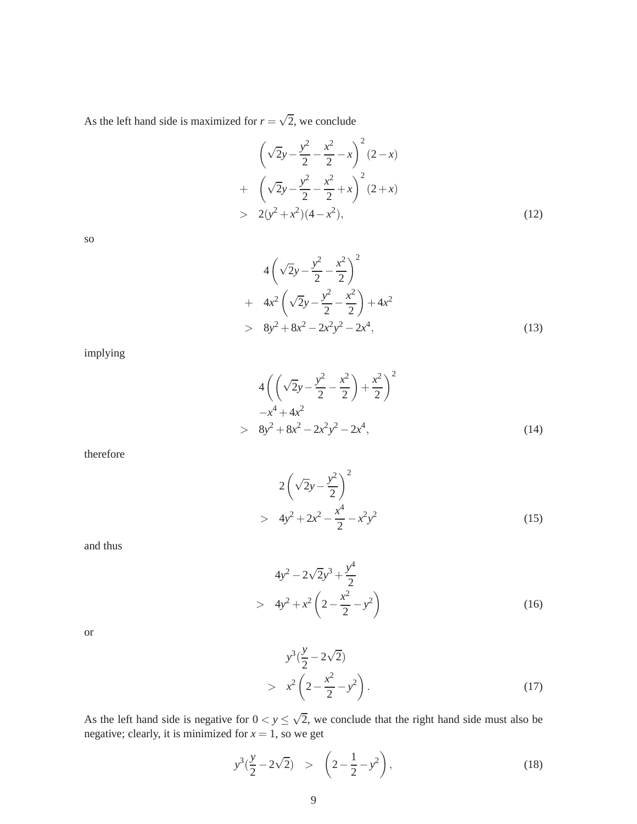As the left hand side is maximized for  $r = \sqrt{2}$ , we conclude

$$
\left(\sqrt{2}y - \frac{y^2}{2} - \frac{x^2}{2} - x\right)^2 (2 - x) + \left(\sqrt{2}y - \frac{y^2}{2} - \frac{x^2}{2} + x\right)^2 (2 + x) > 2(y^2 + x^2)(4 - x^2),
$$
 (12)

so

$$
4\left(\sqrt{2}y - \frac{y^2}{2} - \frac{x^2}{2}\right)^2
$$
  
+ 
$$
4x^2\left(\sqrt{2}y - \frac{y^2}{2} - \frac{x^2}{2}\right) + 4x^2
$$
  
> 
$$
8y^2 + 8x^2 - 2x^2y^2 - 2x^4,
$$
 (13)

implying

$$
4\left(\left(\sqrt{2}y - \frac{y^2}{2} - \frac{x^2}{2}\right) + \frac{x^2}{2}\right)^2
$$
  

$$
-x^4 + 4x^2
$$
  

$$
> 8y^2 + 8x^2 - 2x^2y^2 - 2x^4,
$$
 (14)

therefore

$$
2\left(\sqrt{2}y - \frac{y^2}{2}\right)^2
$$
  
>  $4y^2 + 2x^2 - \frac{x^4}{2} - x^2y^2$  (15)

and thus

$$
4y^{2} - 2\sqrt{2}y^{3} + \frac{y^{4}}{2}
$$
  
> 4y^{2} + x^{2} \left(2 - \frac{x^{2}}{2} - y^{2}\right) (16)

4

or

$$
y^{3}(\frac{y}{2} - 2\sqrt{2})
$$
  
>  $x^{2}\left(2 - \frac{x^{2}}{2} - y^{2}\right)$ . (17)

As the left hand side is negative for  $0 < y \leq \sqrt{2}$ , we conclude that the right hand side must also be negative; clearly, it is minimized for  $x = 1$ , so we get

$$
y^3(\frac{y}{2} - 2\sqrt{2}) > (\left(2 - \frac{1}{2} - y^2\right), \tag{18}
$$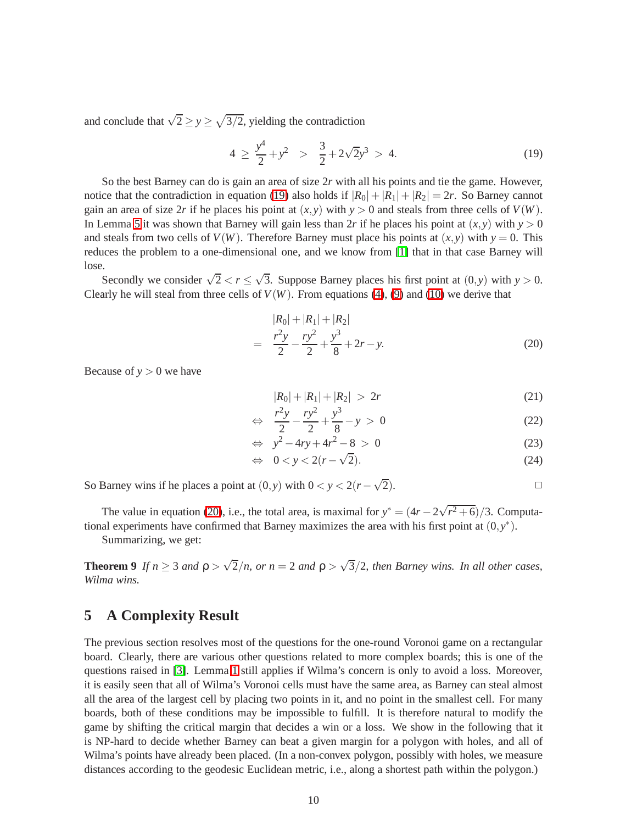and conclude that  $\sqrt{2} \ge y \ge \sqrt{3/2}$ , yielding the contradiction

<span id="page-9-1"></span>
$$
4 \ge \frac{y^4}{2} + y^2 > \frac{3}{2} + 2\sqrt{2}y^3 > 4.
$$
 (19)

So the best Barney can do is gain an area of size 2*r* with all his points and tie the game. However, notice that the contradiction in equation [\(19\)](#page-9-1) also holds if  $|R_0| + |R_1| + |R_2| = 2r$ . So Barney cannot gain an area of size 2r if he places his point at  $(x, y)$  with  $y > 0$  and steals from three cells of  $V(W)$ . In Lemma [5](#page-4-3) it was shown that Barney will gain less than 2r if he places his point at  $(x, y)$  with  $y > 0$ and steals from two cells of  $V(W)$ . Therefore Barney must place his points at  $(x, y)$  with  $y = 0$ . This reduces the problem to a one-dimensional one, and we know from [\[1\]](#page-13-4) that in that case Barney will lose.

Secondly we consider  $\sqrt{2} < r \le \sqrt{3}$ . Suppose Barney places his first point at  $(0, y)$  with  $y > 0$ . Clearly he will steal from three cells of  $V(W)$ . From equations [\(4\)](#page-7-0), [\(9\)](#page-7-1) and [\(10\)](#page-7-2) we derive that

<span id="page-9-2"></span>
$$
|R_0| + |R_1| + |R_2|
$$
  
= 
$$
\frac{r^2 y}{2} - \frac{ry^2}{2} + \frac{y^3}{8} + 2r - y.
$$
 (20)

Because of  $y > 0$  we have

$$
|R_0| + |R_1| + |R_2| > 2r \tag{21}
$$

$$
\Leftrightarrow \quad \frac{r^2y}{2} - \frac{ry^2}{2} + \frac{y^3}{8} - y > 0 \tag{22}
$$

$$
\Leftrightarrow y^2 - 4ry + 4r^2 - 8 > 0 \tag{23}
$$

$$
\Leftrightarrow \quad 0 < y < 2(r - \sqrt{2}).\tag{24}
$$

So Barney wins if he places a point at  $(0, y)$  with  $0 < y < 2(r - \sqrt{ }$  $\overline{2}$ ).

The value in equation [\(20\)](#page-9-2), i.e., the total area, is maximal for  $y^* = (4r - 2\sqrt{r^2 + 6})/3$ . Computational experiments have confirmed that Barney maximizes the area with his first point at  $(0, y^*)$ .

Summarizing, we get:

**Theorem 9** *If*  $n \ge 3$  *and*  $\rho > \sqrt{2}/n$ , *or*  $n = 2$  *and*  $\rho > \sqrt{3}/2$ , *then Barney wins. In all other cases, Wilma wins.*

### <span id="page-9-0"></span>**5 A Complexity Result**

The previous section resolves most of the questions for the one-round Voronoi game on a rectangular board. Clearly, there are various other questions related to more complex boards; this is one of the questions raised in [\[3\]](#page-13-5). Lemma [1](#page-2-2) still applies if Wilma's concern is only to avoid a loss. Moreover, it is easily seen that all of Wilma's Voronoi cells must have the same area, as Barney can steal almost all the area of the largest cell by placing two points in it, and no point in the smallest cell. For many boards, both of these conditions may be impossible to fulfill. It is therefore natural to modify the game by shifting the critical margin that decides a win or a loss. We show in the following that it is NP-hard to decide whether Barney can beat a given margin for a polygon with holes, and all of Wilma's points have already been placed. (In a non-convex polygon, possibly with holes, we measure distances according to the geodesic Euclidean metric, i.e., along a shortest path within the polygon.)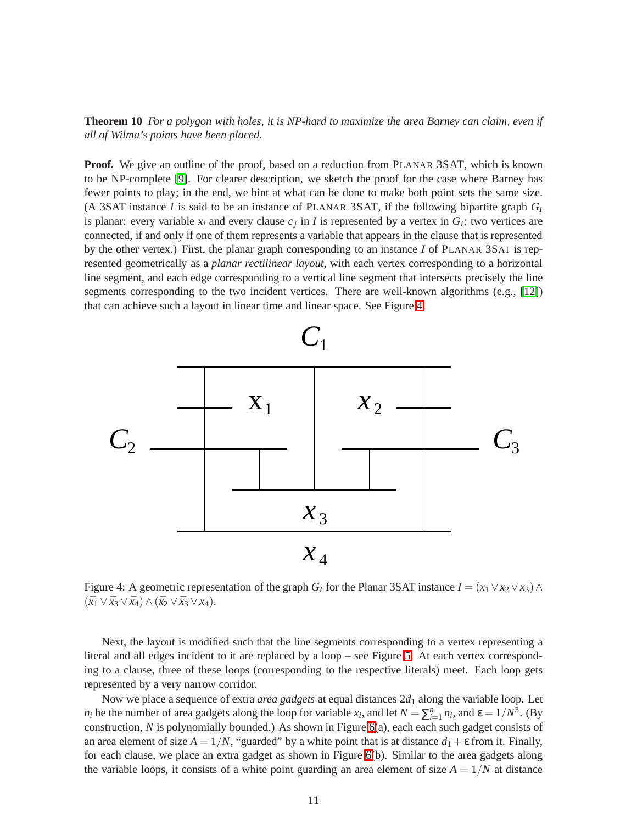**Theorem 10** *For a polygon with holes, it is NP-hard to maximize the area Barney can claim, even if all of Wilma's points have been placed.*

**Proof.** We give an outline of the proof, based on a reduction from PLANAR 3SAT, which is known to be NP-complete [\[9\]](#page-13-8). For clearer description, we sketch the proof for the case where Barney has fewer points to play; in the end, we hint at what can be done to make both point sets the same size. (A 3SAT instance *I* is said to be an instance of PLANAR 3SAT, if the following bipartite graph  $G_I$ is planar: every variable  $x_i$  and every clause  $c_j$  in *I* is represented by a vertex in  $G_I$ ; two vertices are connected, if and only if one of them represents a variable that appears in the clause that is represented by the other vertex.) First, the planar graph corresponding to an instance *I* of PLANAR 3SAT is represented geometrically as a *planar rectilinear layout*, with each vertex corresponding to a horizontal line segment, and each edge corresponding to a vertical line segment that intersects precisely the line segments corresponding to the two incident vertices. There are well-known algorithms (e.g., [\[12\]](#page-13-9)) that can achieve such a layout in linear time and linear space. See Figure [4.](#page-10-0)



<span id="page-10-0"></span>Figure 4: A geometric representation of the graph *G*<sub>*I*</sub> for the Planar 3SAT instance  $I = (x_1 \vee x_2 \vee x_3) \wedge$  $(\bar{x}_1 \vee \bar{x}_3 \vee \bar{x}_4) \wedge (\bar{x}_2 \vee \bar{x}_3 \vee x_4).$ 

Next, the layout is modified such that the line segments corresponding to a vertex representing a literal and all edges incident to it are replaced by a loop – see Figure [5.](#page-11-0) At each vertex corresponding to a clause, three of these loops (corresponding to the respective literals) meet. Each loop gets represented by a very narrow corridor.

Now we place a sequence of extra *area gadgets* at equal distances  $2d_1$  along the variable loop. Let *n*<sub>i</sub> be the number of area gadgets along the loop for variable *x*<sub>*i*</sub>, and let  $N = \sum_{i=1}^{n} n_i$ , and  $\epsilon = 1/N^3$ . (By construction, *N* is polynomially bounded.) As shown in Figure [6\(](#page-12-1)a), each each such gadget consists of an area element of size  $A = 1/N$ , "guarded" by a white point that is at distance  $d_1 + \varepsilon$  from it. Finally, for each clause, we place an extra gadget as shown in Figure [6\(](#page-12-1)b). Similar to the area gadgets along the variable loops, it consists of a white point guarding an area element of size  $A = 1/N$  at distance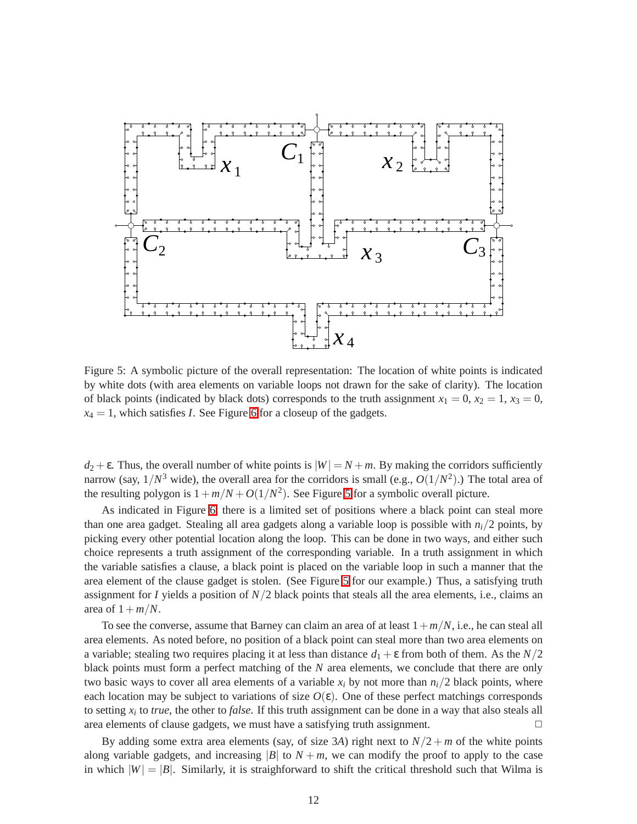

<span id="page-11-0"></span>Figure 5: A symbolic picture of the overall representation: The location of white points is indicated by white dots (with area elements on variable loops not drawn for the sake of clarity). The location of black points (indicated by black dots) corresponds to the truth assignment  $x_1 = 0$ ,  $x_2 = 1$ ,  $x_3 = 0$ ,  $x_4 = 1$ , which satisfies *I*. See Figure [6](#page-12-1) for a closeup of the gadgets.

 $d_2 + \varepsilon$ . Thus, the overall number of white points is  $|W| = N + m$ . By making the corridors sufficiently narrow (say,  $1/N^3$  wide), the overall area for the corridors is small (e.g.,  $O(1/N^2)$ .) The total area of the resulting polygon is  $1 + m/N + O(1/N^2)$ . See Figure [5](#page-11-0) for a symbolic overall picture.

As indicated in Figure [6,](#page-12-1) there is a limited set of positions where a black point can steal more than one area gadget. Stealing all area gadgets along a variable loop is possible with *ni*/2 points, by picking every other potential location along the loop. This can be done in two ways, and either such choice represents a truth assignment of the corresponding variable. In a truth assignment in which the variable satisfies a clause, a black point is placed on the variable loop in such a manner that the area element of the clause gadget is stolen. (See Figure [5](#page-11-0) for our example.) Thus, a satisfying truth assignment for *I* yields a position of  $N/2$  black points that steals all the area elements, i.e., claims an area of  $1+m/N$ .

To see the converse, assume that Barney can claim an area of at least 1+*m*/*N*, i.e., he can steal all area elements. As noted before, no position of a black point can steal more than two area elements on a variable; stealing two requires placing it at less than distance  $d_1 + \varepsilon$  from both of them. As the  $N/2$ black points must form a perfect matching of the *N* area elements, we conclude that there are only two basic ways to cover all area elements of a variable  $x_i$  by not more than  $n_i/2$  black points, where each location may be subject to variations of size  $O(\varepsilon)$ . One of these perfect matchings corresponds to setting *x<sup>i</sup>* to *true*, the other to *false*. If this truth assignment can be done in a way that also steals all area elements of clause gadgets, we must have a satisfying truth assignment.  $\Box$ 

By adding some extra area elements (say, of size 3*A*) right next to  $N/2 + m$  of the white points along variable gadgets, and increasing  $|B|$  to  $N + m$ , we can modify the proof to apply to the case in which  $|W| = |B|$ . Similarly, it is straighforward to shift the critical threshold such that Wilma is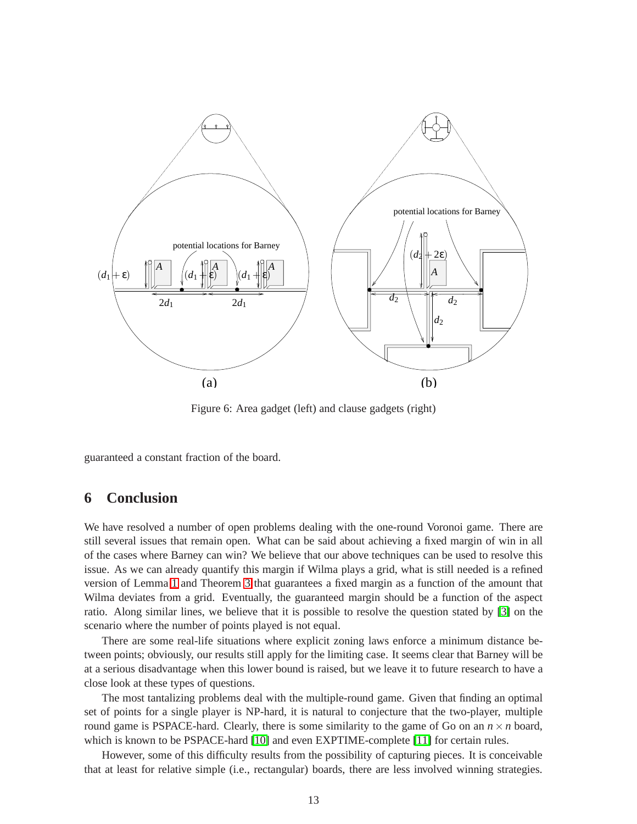

<span id="page-12-1"></span>Figure 6: Area gadget (left) and clause gadgets (right)

guaranteed a constant fraction of the board.

## <span id="page-12-0"></span>**6 Conclusion**

We have resolved a number of open problems dealing with the one-round Voronoi game. There are still several issues that remain open. What can be said about achieving a fixed margin of win in all of the cases where Barney can win? We believe that our above techniques can be used to resolve this issue. As we can already quantify this margin if Wilma plays a grid, what is still needed is a refined version of Lemma [1](#page-2-2) and Theorem [3](#page-3-1) that guarantees a fixed margin as a function of the amount that Wilma deviates from a grid. Eventually, the guaranteed margin should be a function of the aspect ratio. Along similar lines, we believe that it is possible to resolve the question stated by [\[3\]](#page-13-5) on the scenario where the number of points played is not equal.

There are some real-life situations where explicit zoning laws enforce a minimum distance between points; obviously, our results still apply for the limiting case. It seems clear that Barney will be at a serious disadvantage when this lower bound is raised, but we leave it to future research to have a close look at these types of questions.

The most tantalizing problems deal with the multiple-round game. Given that finding an optimal set of points for a single player is NP-hard, it is natural to conjecture that the two-player, multiple round game is PSPACE-hard. Clearly, there is some similarity to the game of Go on an  $n \times n$  board, which is known to be PSPACE-hard [\[10\]](#page-13-10) and even EXPTIME-complete [\[11\]](#page-13-11) for certain rules.

However, some of this difficulty results from the possibility of capturing pieces. It is conceivable that at least for relative simple (i.e., rectangular) boards, there are less involved winning strategies.